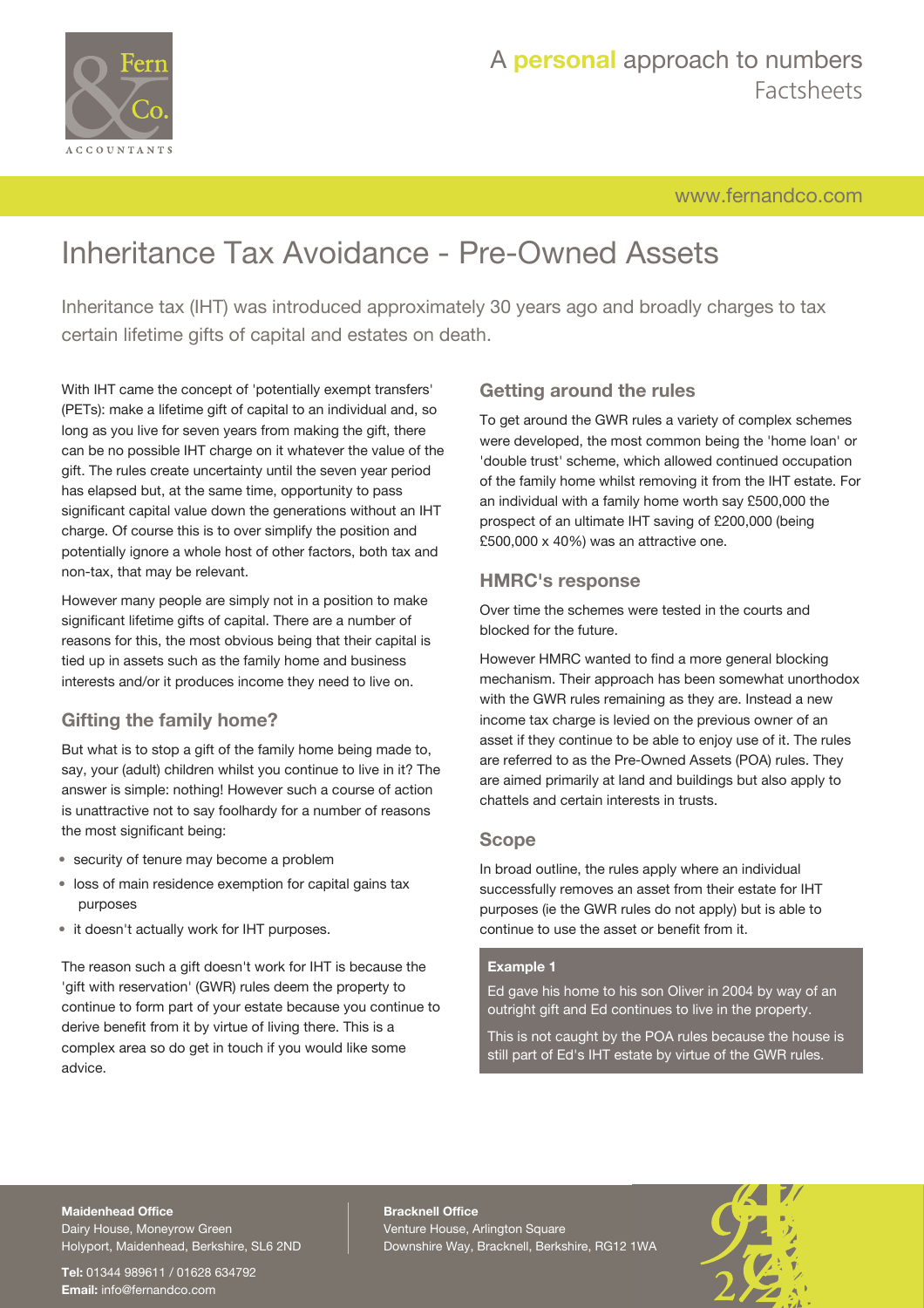

[www.fernandco.com](http://www.fernandco.com)

# Inheritance Tax Avoidance - Pre-Owned Assets

Inheritance tax (IHT) was introduced approximately 30 years ago and broadly charges to tax certain lifetime gifts of capital and estates on death.

With IHT came the concept of 'potentially exempt transfers' (PETs): make a lifetime gift of capital to an individual and, so long as you live for seven years from making the gift, there can be no possible IHT charge on it whatever the value of the gift. The rules create uncertainty until the seven year period has elapsed but, at the same time, opportunity to pass significant capital value down the generations without an IHT charge. Of course this is to over simplify the position and potentially ignore a whole host of other factors, both tax and non-tax, that may be relevant.

However many people are simply not in a position to make significant lifetime gifts of capital. There are a number of reasons for this, the most obvious being that their capital is tied up in assets such as the family home and business interests and/or it produces income they need to live on.

# **Gifting the family home?**

But what is to stop a gift of the family home being made to, say, your (adult) children whilst you continue to live in it? The answer is simple: nothing! However such a course of action is unattractive not to say foolhardy for a number of reasons the most significant being:

- security of tenure may become a problem
- loss of main residence exemption for capital gains tax purposes
- it doesn't actually work for IHT purposes.

The reason such a gift doesn't work for IHT is because the 'gift with reservation' (GWR) rules deem the property to continue to form part of your estate because you continue to derive benefit from it by virtue of living there. This is a complex area so do get in touch if you would like some advice.

# **Getting around the rules**

To get around the GWR rules a variety of complex schemes were developed, the most common being the 'home loan' or 'double trust' scheme, which allowed continued occupation of the family home whilst removing it from the IHT estate. For an individual with a family home worth say £500,000 the prospect of an ultimate IHT saving of £200,000 (being £500,000 x 40%) was an attractive one.

# **HMRC's response**

Over time the schemes were tested in the courts and blocked for the future.

However HMRC wanted to find a more general blocking mechanism. Their approach has been somewhat unorthodox with the GWR rules remaining as they are. Instead a new income tax charge is levied on the previous owner of an asset if they continue to be able to enjoy use of it. The rules are referred to as the Pre-Owned Assets (POA) rules. They are aimed primarily at land and buildings but also apply to chattels and certain interests in trusts.

# **Scope**

In broad outline, the rules apply where an individual successfully removes an asset from their estate for IHT purposes (ie the GWR rules do not apply) but is able to continue to use the asset or benefit from it.

### **Example 1**

Ed gave his home to his son Oliver in 2004 by way of an outright gift and Ed continues to live in the property.

This is not caught by the POA rules because the house is still part of Ed's IHT estate by virtue of the GWR rules.

# **Maidenhead Office**

Dairy House, Moneyrow Green Holyport, Maidenhead, Berkshire, SL6 2ND

**Tel:** 01344 989611 / 01628 634792 **Email:** [info@fernandco.com](mailto:info@fernandco.com)

**Bracknell Office** Venture House, Arlington Square Downshire Way, Bracknell, Berkshire, RG12 1WA

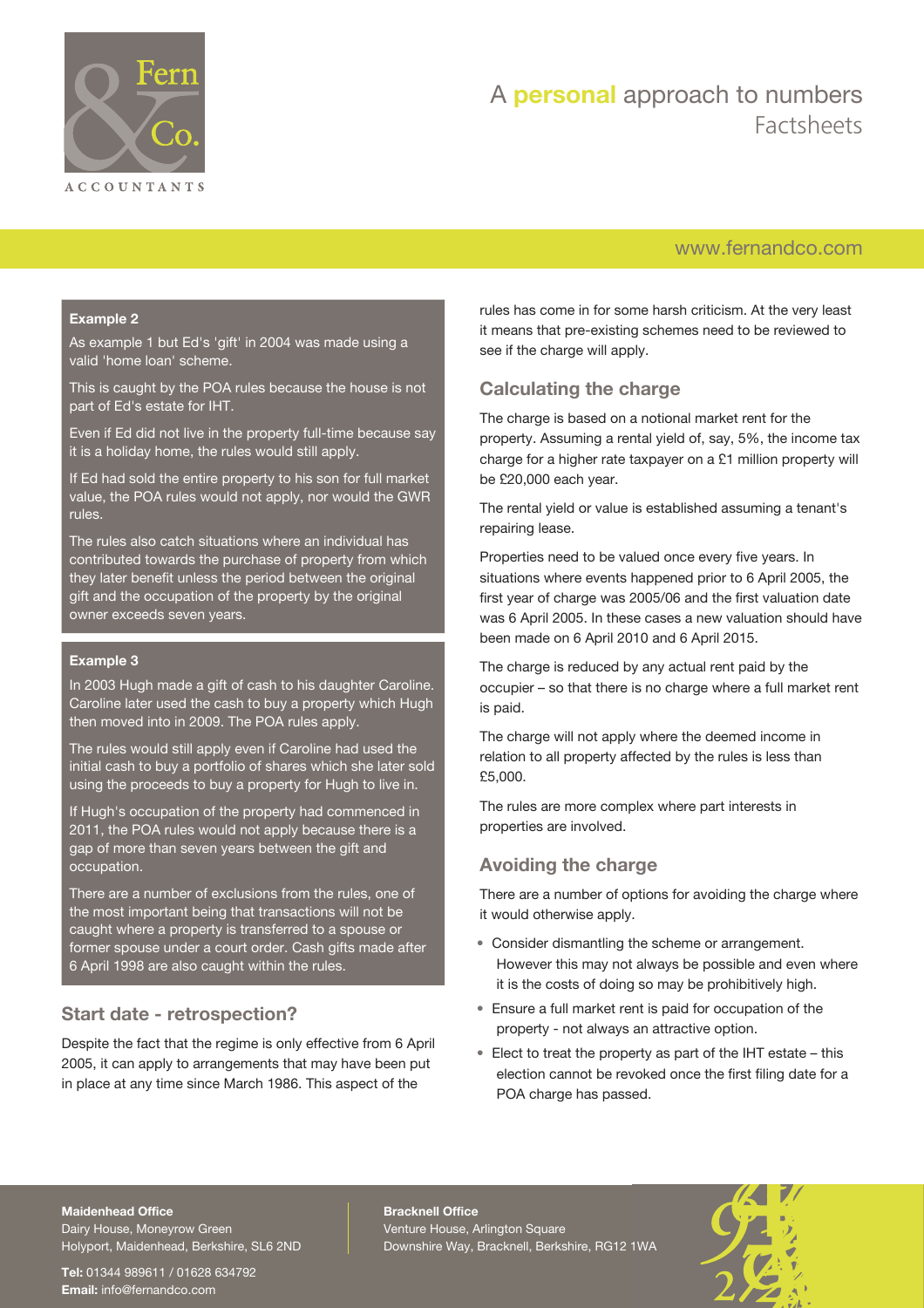

# A **personal** approach to numbers Factsheets

# [www.fernandco.com](http://www.fernandco.com)

#### **Example 2**

As example 1 but Ed's 'gift' in 2004 was made using a valid 'home loan' scheme.

This is caught by the POA rules because the house is not part of Ed's estate for IHT.

Even if Ed did not live in the property full-time because say it is a holiday home, the rules would still apply.

If Ed had sold the entire property to his son for full market value, the POA rules would not apply, nor would the GWR rules.

The rules also catch situations where an individual has contributed towards the purchase of property from which they later benefit unless the period between the original gift and the occupation of the property by the original owner exceeds seven years.

#### **Example 3**

In 2003 Hugh made a gift of cash to his daughter Caroline. Caroline later used the cash to buy a property which Hugh then moved into in 2009. The POA rules apply.

The rules would still apply even if Caroline had used the initial cash to buy a portfolio of shares which she later sold using the proceeds to buy a property for Hugh to live in.

If Hugh's occupation of the property had commenced in 2011, the POA rules would not apply because there is a gap of more than seven years between the gift and occupation.

There are a number of exclusions from the rules, one of the most important being that transactions will not be caught where a property is transferred to a spouse or former spouse under a court order. Cash gifts made after 6 April 1998 are also caught within the rules.

# **Start date - retrospection?**

Despite the fact that the regime is only effective from 6 April 2005, it can apply to arrangements that may have been put in place at any time since March 1986. This aspect of the

rules has come in for some harsh criticism. At the very least it means that pre-existing schemes need to be reviewed to see if the charge will apply.

# **Calculating the charge**

The charge is based on a notional market rent for the property. Assuming a rental yield of, say, 5%, the income tax charge for a higher rate taxpayer on a £1 million property will be £20,000 each year.

The rental yield or value is established assuming a tenant's repairing lease.

Properties need to be valued once every five years. In situations where events happened prior to 6 April 2005, the first year of charge was 2005/06 and the first valuation date was 6 April 2005. In these cases a new valuation should have been made on 6 April 2010 and 6 April 2015.

The charge is reduced by any actual rent paid by the occupier – so that there is no charge where a full market rent is paid.

The charge will not apply where the deemed income in relation to all property affected by the rules is less than £5,000.

The rules are more complex where part interests in properties are involved.

# **Avoiding the charge**

There are a number of options for avoiding the charge where it would otherwise apply.

- Consider dismantling the scheme or arrangement. However this may not always be possible and even where it is the costs of doing so may be prohibitively high.
- Ensure a full market rent is paid for occupation of the property - not always an attractive option.
- Elect to treat the property as part of the IHT estate this election cannot be revoked once the first filing date for a POA charge has passed.

#### **Maidenhead Office**

Dairy House, Moneyrow Green Holyport, Maidenhead, Berkshire, SL6 2ND

**Tel:** 01344 989611 / 01628 634792 **Email:** [info@fernandco.com](mailto:info@fernandco.com)

**Bracknell Office** Venture House, Arlington Square Downshire Way, Bracknell, Berkshire, RG12 1WA